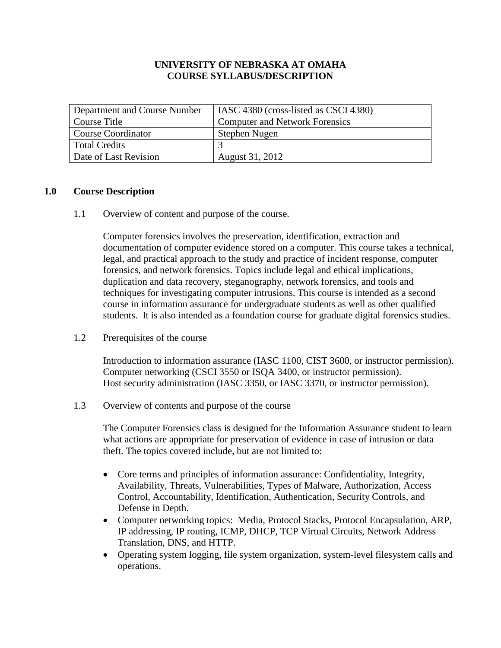### **UNIVERSITY OF NEBRASKA AT OMAHA COURSE SYLLABUS/DESCRIPTION**

| Department and Course Number | IASC 4380 (cross-listed as CSCI 4380) |
|------------------------------|---------------------------------------|
| Course Title                 | <b>Computer and Network Forensics</b> |
| <b>Course Coordinator</b>    | Stephen Nugen                         |
| <b>Total Credits</b>         |                                       |
| Date of Last Revision        | August 31, 2012                       |

### **1.0 Course Description**

1.1 Overview of content and purpose of the course.

Computer forensics involves the preservation, identification, extraction and documentation of computer evidence stored on a computer. This course takes a technical, legal, and practical approach to the study and practice of incident response, computer forensics, and network forensics. Topics include legal and ethical implications, duplication and data recovery, steganography, network forensics, and tools and techniques for investigating computer intrusions. This course is intended as a second course in information assurance for undergraduate students as well as other qualified students. It is also intended as a foundation course for graduate digital forensics studies.

1.2 Prerequisites of the course

Introduction to information assurance (IASC 1100, CIST 3600, or instructor permission). Computer networking (CSCI 3550 or ISQA 3400, or instructor permission). Host security administration (IASC 3350, or IASC 3370, or instructor permission).

1.3 Overview of contents and purpose of the course

The Computer Forensics class is designed for the Information Assurance student to learn what actions are appropriate for preservation of evidence in case of intrusion or data theft. The topics covered include, but are not limited to:

- Core terms and principles of information assurance: Confidentiality, Integrity, Availability, Threats, Vulnerabilities, Types of Malware, Authorization, Access Control, Accountability, Identification, Authentication, Security Controls, and Defense in Depth.
- Computer networking topics: Media, Protocol Stacks, Protocol Encapsulation, ARP, IP addressing, IP routing, ICMP, DHCP, TCP Virtual Circuits, Network Address Translation, DNS, and HTTP.
- Operating system logging, file system organization, system-level filesystem calls and operations.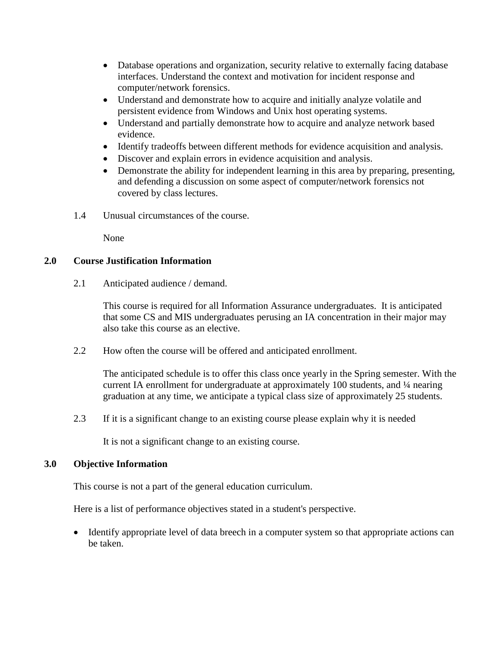- Database operations and organization, security relative to externally facing database interfaces. Understand the context and motivation for incident response and computer/network forensics.
- Understand and demonstrate how to acquire and initially analyze volatile and persistent evidence from Windows and Unix host operating systems.
- Understand and partially demonstrate how to acquire and analyze network based evidence.
- Identify tradeoffs between different methods for evidence acquisition and analysis.
- Discover and explain errors in evidence acquisition and analysis.
- Demonstrate the ability for independent learning in this area by preparing, presenting, and defending a discussion on some aspect of computer/network forensics not covered by class lectures.
- 1.4 Unusual circumstances of the course.

None

## **2.0 Course Justification Information**

2.1 Anticipated audience / demand.

This course is required for all Information Assurance undergraduates. It is anticipated that some CS and MIS undergraduates perusing an IA concentration in their major may also take this course as an elective.

2.2 How often the course will be offered and anticipated enrollment.

The anticipated schedule is to offer this class once yearly in the Spring semester. With the current IA enrollment for undergraduate at approximately 100 students, and ¼ nearing graduation at any time, we anticipate a typical class size of approximately 25 students.

2.3 If it is a significant change to an existing course please explain why it is needed

It is not a significant change to an existing course.

## **3.0 Objective Information**

This course is not a part of the general education curriculum.

Here is a list of performance objectives stated in a student's perspective.

• Identify appropriate level of data breech in a computer system so that appropriate actions can be taken.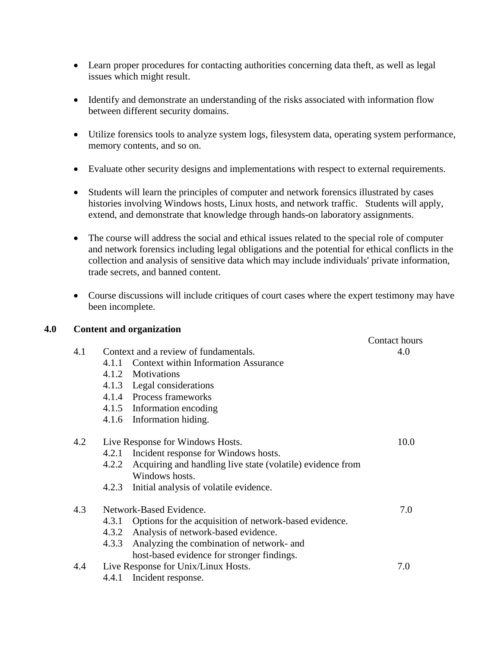- Learn proper procedures for contacting authorities concerning data theft, as well as legal issues which might result.
- Identify and demonstrate an understanding of the risks associated with information flow between different security domains.
- Utilize forensics tools to analyze system logs, filesystem data, operating system performance, memory contents, and so on.
- Evaluate other security designs and implementations with respect to external requirements.
- Students will learn the principles of computer and network forensics illustrated by cases histories involving Windows hosts, Linux hosts, and network traffic. Students will apply, extend, and demonstrate that knowledge through hands-on laboratory assignments.
- The course will address the social and ethical issues related to the special role of computer and network forensics including legal obligations and the potential for ethical conflicts in the collection and analysis of sensitive data which may include individuals' private information, trade secrets, and banned content.
- Course discussions will include critiques of court cases where the expert testimony may have been incomplete.

#### **4.0 Content and organization**

|     |                                                                     | Contact hours |
|-----|---------------------------------------------------------------------|---------------|
| 4.1 | Context and a review of fundamentals.                               | 4.0           |
|     | <b>Context within Information Assurance</b><br>4.1.1                |               |
|     | 4.1.2 Motivations                                                   |               |
|     | 4.1.3 Legal considerations                                          |               |
|     | 4.1.4 Process frameworks                                            |               |
|     | 4.1.5 Information encoding                                          |               |
|     | 4.1.6 Information hiding.                                           |               |
| 4.2 | Live Response for Windows Hosts.                                    | 10.0          |
|     | Incident response for Windows hosts.<br>4.2.1                       |               |
|     | Acquiring and handling live state (volatile) evidence from<br>4.2.2 |               |
|     | Windows hosts.                                                      |               |
|     | Initial analysis of volatile evidence.<br>4.2.3                     |               |
| 4.3 | Network-Based Evidence.                                             | 7.0           |
|     | Options for the acquisition of network-based evidence.<br>4.3.1     |               |
|     | 4.3.2 Analysis of network-based evidence.                           |               |
|     | Analyzing the combination of network- and<br>4.3.3                  |               |
|     | host-based evidence for stronger findings.                          |               |
| 4.4 | Live Response for Unix/Linux Hosts.                                 | 7.0           |
|     |                                                                     |               |

4.4.1 Incident response.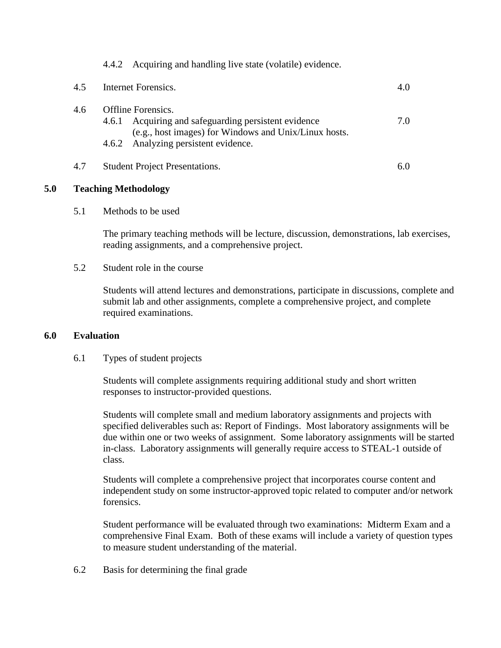|     |       | 4.4.2 Acquiring and handling live state (volatile) evidence.                                                                                                          |     |
|-----|-------|-----------------------------------------------------------------------------------------------------------------------------------------------------------------------|-----|
| 4.5 |       | Internet Forensics.                                                                                                                                                   | 4.0 |
| 4.6 | 4.6.1 | Offline Forensics.<br>Acquiring and safeguarding persistent evidence<br>(e.g., host images) for Windows and Unix/Linux hosts.<br>4.6.2 Analyzing persistent evidence. | 7.0 |
| 4.7 |       | <b>Student Project Presentations.</b>                                                                                                                                 | 6.0 |

## **5.0 Teaching Methodology**

5.1 Methods to be used

The primary teaching methods will be lecture, discussion, demonstrations, lab exercises, reading assignments, and a comprehensive project.

5.2 Student role in the course

Students will attend lectures and demonstrations, participate in discussions, complete and submit lab and other assignments, complete a comprehensive project, and complete required examinations.

# **6.0 Evaluation**

# 6.1 Types of student projects

Students will complete assignments requiring additional study and short written responses to instructor-provided questions.

Students will complete small and medium laboratory assignments and projects with specified deliverables such as: Report of Findings. Most laboratory assignments will be due within one or two weeks of assignment. Some laboratory assignments will be started in-class. Laboratory assignments will generally require access to STEAL-1 outside of class.

Students will complete a comprehensive project that incorporates course content and independent study on some instructor-approved topic related to computer and/or network forensics.

Student performance will be evaluated through two examinations: Midterm Exam and a comprehensive Final Exam. Both of these exams will include a variety of question types to measure student understanding of the material.

6.2 Basis for determining the final grade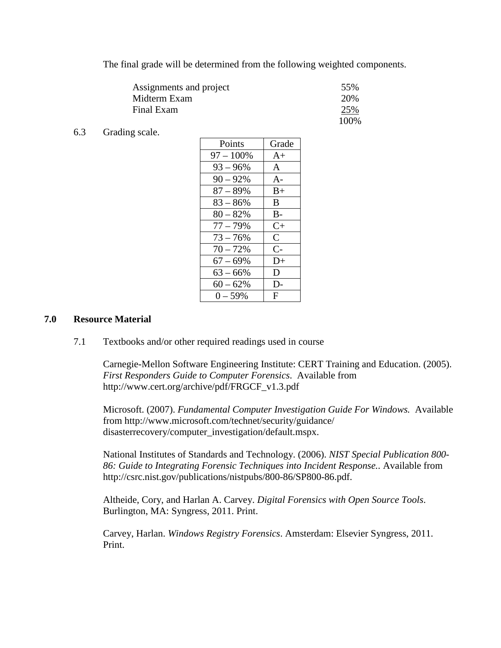The final grade will be determined from the following weighted components.

| Assignments and project | 55%   |
|-------------------------|-------|
| Midterm Exam            | 20%   |
| Final Exam              | 25%   |
|                         | 100\% |

6.3 Grading scale.

| Points      | Grade        |
|-------------|--------------|
| 97 – 100%   | $A+$         |
| $93 - 96\%$ | $\mathbf{A}$ |
| $90 - 92%$  | $A -$        |
| $87 - 89%$  | $B+$         |
| $83 - 86%$  | B.           |
| $80 - 82%$  | $B -$        |
| $77 - 79\%$ | $C+$         |
| $73 - 76%$  | $\mathsf{C}$ |
| $70 - 72%$  | $C-$         |
| $67 - 69\%$ | D+           |
| $63 - 66\%$ | D            |
| $60 - 62%$  | D-           |
| $0 - 59%$   | F            |

### **7.0 Resource Material**

7.1 Textbooks and/or other required readings used in course

Carnegie-Mellon Software Engineering Institute: CERT Training and Education. (2005). *First Responders Guide to Computer Forensics*. Available from http://www.cert.org/archive/pdf/FRGCF\_v1.3.pdf

Microsoft. (2007). *Fundamental Computer Investigation Guide For Windows.* Available from http://www.microsoft.com/technet/security/guidance/ disasterrecovery/computer\_investigation/default.mspx.

National Institutes of Standards and Technology. (2006). *NIST Special Publication 800- 86: Guide to Integrating Forensic Techniques into Incident Response.*. Available from http://csrc.nist.gov/publications/nistpubs/800-86/SP800-86.pdf.

Altheide, Cory, and Harlan A. Carvey. *Digital Forensics with Open Source Tools*. Burlington, MA: Syngress, 2011. Print.

Carvey, Harlan. *Windows Registry Forensics*. Amsterdam: Elsevier Syngress, 2011. Print.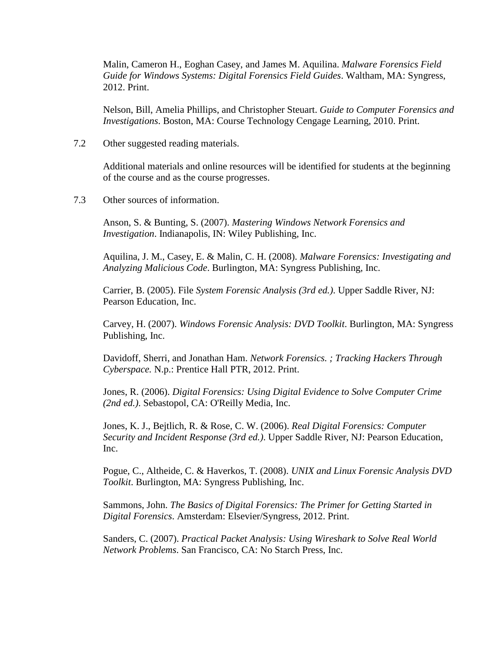Malin, Cameron H., Eoghan Casey, and James M. Aquilina. *Malware Forensics Field Guide for Windows Systems: Digital Forensics Field Guides*. Waltham, MA: Syngress, 2012. Print.

Nelson, Bill, Amelia Phillips, and Christopher Steuart. *Guide to Computer Forensics and Investigations*. Boston, MA: Course Technology Cengage Learning, 2010. Print.

7.2 Other suggested reading materials.

Additional materials and online resources will be identified for students at the beginning of the course and as the course progresses.

7.3 Other sources of information.

Anson, S. & Bunting, S. (2007). *Mastering Windows Network Forensics and Investigation*. Indianapolis, IN: Wiley Publishing, Inc.

Aquilina, J. M., Casey, E. & Malin, C. H. (2008). *Malware Forensics: Investigating and Analyzing Malicious Code*. Burlington, MA: Syngress Publishing, Inc.

Carrier, B. (2005). File *System Forensic Analysis (3rd ed.)*. Upper Saddle River, NJ: Pearson Education, Inc.

Carvey, H. (2007). *Windows Forensic Analysis: DVD Toolkit*. Burlington, MA: Syngress Publishing, Inc.

Davidoff, Sherri, and Jonathan Ham. *Network Forensics. ; Tracking Hackers Through Cyberspace.* N.p.: Prentice Hall PTR, 2012. Print.

Jones, R. (2006). *Digital Forensics: Using Digital Evidence to Solve Computer Crime (2nd ed.)*. Sebastopol, CA: O'Reilly Media, Inc.

Jones, K. J., Bejtlich, R. & Rose, C. W. (2006). *Real Digital Forensics: Computer Security and Incident Response (3rd ed.)*. Upper Saddle River, NJ: Pearson Education, Inc.

Pogue, C., Altheide, C. & Haverkos, T. (2008). *UNIX and Linux Forensic Analysis DVD Toolkit*. Burlington, MA: Syngress Publishing, Inc.

Sammons, John. *The Basics of Digital Forensics: The Primer for Getting Started in Digital Forensics*. Amsterdam: Elsevier/Syngress, 2012. Print.

Sanders, C. (2007). *Practical Packet Analysis: Using Wireshark to Solve Real World Network Problems*. San Francisco, CA: No Starch Press, Inc.